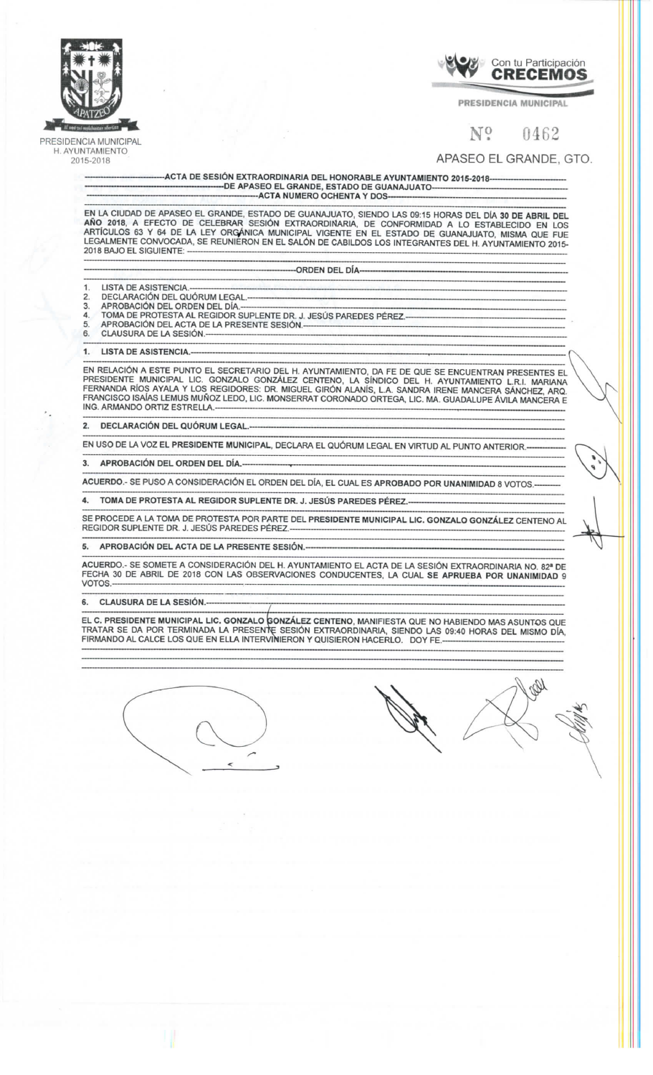

*PRESIDENCIA MUNICIPAL H . AYUNTAMIENTO 2015-201 8* 



PRESIDENCIA MUNICIPAL

## $N^{\rm o}$   $0462$

## *APASE O EL GRANDE , GTO.*

*-ACT A D E SESIÓ N EXTRAORDINARI A DE L HONORABL E AYUNTAMIENT O 2015-2018 - D E APASE O E L GRANDE , ESTAD O D E GUANAJUAT O ACT A NUMER O OCHENT A Y DO S* 

EN LA CIUDAD DE APASEO EL GRANDE, ESTADO DE GUANAJUATO. SIENDO LAS 09:15 HORAS DEL DÍA 30 DE ARRIL DE *A Ñ O 2018 , A EFECT O D E CELEBRA R SESIÓ N EXTRAORDINARIA , D E CONFORMIDA D A L O ESTABLECID O E N LO S*  ARTICULOS 63 Y 64 DE LA LEY ORGANICA MUNICIPAL VIGENTE EN EL ESTADO DE GUANAJUATO, MISMA OUE FUE -EGALMENTE CONVOCADA, SE REUNIERON EN EL SALÓN DE CABILDOS LOS INTEGRANTES DEL H. AYUNTAMIENTO 2014 *201 8 BAJ O E L SIGUIENTE :* 

*-ORDE N DE L DÍA -*

- *LISTA DE ASISTENCIA*  $\mathcal{D}$
- *DECLARACIÓ N DE L QUÓRU M LEGAL -* 3.
- *APROBACIÓ N DE L ORDE N DE L DÍA. -*  $\overline{\mathbf{4}}$ *TOM A D E PROTEST A A L REGIDO R SUPLENT E DR . J . JESÚ S PAREDE S PÉREZ. -*
- 5 *APROBACIÓ N DE L ACT A D E L A PRESENT E SESIÓN .*
- *CLAUSUR A D E L A SESIÓN .*  6.

1. LISTA DE ASISTENCIA

IN RELACION A ESTE PUNTO EL SECRETARIO DEL H. AYUNTAMIENTO. DA FE DE QUE SE ENCUENTRAN PRESENTES EL *PRESIDENT E MUNICIPA L LIC. GONZAL O GONZÁLE Z CENTENO , L A SÍNDIC O DE L H . AYUNTAMIENT O LR.I . MARIAN A*  ERNANDA RÍOS AYALA Y LOS REGIDORES: DR. MIGUEL GIRÓN ALANÍS. L.A. SANDRA IRENE MANCERA SÁNCHEZ, ARC *FRANCISC O ISAÍA S LEMU S MUÑO Z LEDO , LIC . MONSERRA T CORONAD O ORTEGA , LIC . MA . GUADALUP E ÁVIL A MANCER A E ING . ARMAND O ORTI Z ESTRELLA . .* 

*2 . DECLARACIÓ N DE L QUÓRU M LEGAL. -*

EN USO DE LA VOZ EL PRESIDENTE MUNICIPAL, DECLARA EL QUÓRUM LEGAL EN VIRTUD AL PUNTO ANTERIOR.

*3 . APROBACIÓ N DE L ORDE N DE L DÍA. -*

*ACUERDO. - S E PUS O A CONSIDERACIÓ N E L ORDE N DE L DÍA , E L CUA L E S APROBAD O PO R UNANIMIDA D 8 VOTOS. -*

4. *TOM A D E PROTEST A A L REGIDO R SUPLENT E DR . J . JESU S PAREDE S PEREZ .* 

E PROCEDE A LA TOMA DE PROTESTA POR PARTE DEL PRESIDENTE MUNICIPAL LIC. GONZALO GONZÁLEZ CENTENO AL *REGIDO R SUPLENT E DR . J . JESÚ S PAREDE S PÉREZ .* 

*5 . APROBACIÓ N DE L ACT A D E L A PRESENT E SESIÓN. -*

ACUERDO.- SE SOMETE A CONSIDERACIÓN DEL H. AYUNTAMIENTO EL ACTA DE LA SESIÓN FXTRAORDINARIA NO, 82ª DE ECHA 30 DE ABRIL DE 2018 CON LAS OBSERVACIONES CONDUCENTES. LA CUAL SE APRUEBA POR UNANIMIDAD  $VOTOS.$ 

*6 . CLAUSUR A D E L A SESIÓN. -*

L C. PRESIDENTE MUNICIPAL LIC. GONZALO GONZÁLEZ CENTENO. MANIFIESTA QUE NO HABIFNDO MAS ASUNTOS QUE RATAR SE DA POR TERMINADA LA PRESENTE SESIÓN EXTRAORDINARIA. SIENDO LAS 09:40 HORAS DEL MISMO DÍA *FIRMAND O A L CALC E LO S QU E E N ELL A INTERVINIERO N Y QUISIERO N HACERLO . DO Y FE .* 



CRI